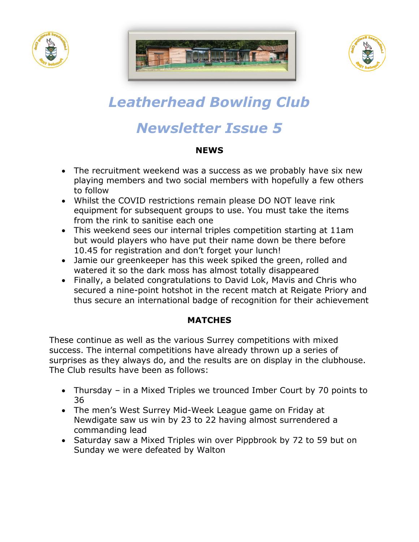





# *Leatherhead Bowling Club*

## *Newsletter Issue 5*

#### **NEWS**

- The recruitment weekend was a success as we probably have six new playing members and two social members with hopefully a few others to follow
- Whilst the COVID restrictions remain please DO NOT leave rink equipment for subsequent groups to use. You must take the items from the rink to sanitise each one
- This weekend sees our internal triples competition starting at 11am but would players who have put their name down be there before 10.45 for registration and don't forget your lunch!
- Jamie our greenkeeper has this week spiked the green, rolled and watered it so the dark moss has almost totally disappeared
- Finally, a belated congratulations to David Lok, Mavis and Chris who secured a nine-point hotshot in the recent match at Reigate Priory and thus secure an international badge of recognition for their achievement

### **MATCHES**

These continue as well as the various Surrey competitions with mixed success. The internal competitions have already thrown up a series of surprises as they always do, and the results are on display in the clubhouse. The Club results have been as follows:

- Thursday in a Mixed Triples we trounced Imber Court by 70 points to 36
- The men's West Surrey Mid-Week League game on Friday at Newdigate saw us win by 23 to 22 having almost surrendered a commanding lead
- Saturday saw a Mixed Triples win over Pippbrook by 72 to 59 but on Sunday we were defeated by Walton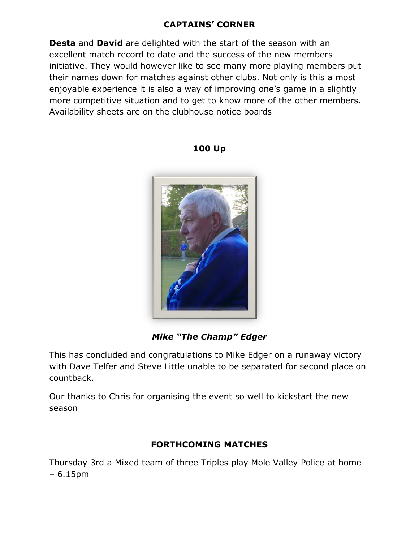#### **CAPTAINS' CORNER**

**Desta** and **David** are delighted with the start of the season with an excellent match record to date and the success of the new members initiative. They would however like to see many more playing members put their names down for matches against other clubs. Not only is this a most enjoyable experience it is also a way of improving one's game in a slightly more competitive situation and to get to know more of the other members. Availability sheets are on the clubhouse notice boards

#### **100 Up**

*Mike "The Champ" Edger*

This has concluded and congratulations to Mike Edger on a runaway victory with Dave Telfer and Steve Little unable to be separated for second place on countback.

Our thanks to Chris for organising the event so well to kickstart the new season

#### **FORTHCOMING MATCHES**

Thursday 3rd a Mixed team of three Triples play Mole Valley Police at home – 6.15pm